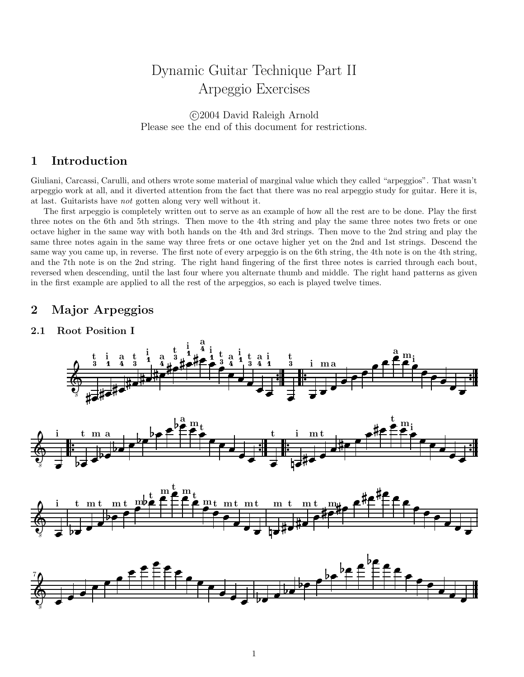# Dynamic Guitar Technique Part II Arpeggio Exercises

 c 2004 David Raleigh Arnold Please see the end of this document for restrictions.

# 1 Introduction

Giuliani, Carcassi, Carulli, and others wrote some material of marginal value which they called "arpeggios". That wasn't arpeggio work at all, and it diverted attention from the fact that there was no real arpeggio study for guitar. Here it is, at last. Guitarists have not gotten along very well without it.

The first arpeggio is completely written out to serve as an example of how all the rest are to be done. Play the first three notes on the 6th and 5th strings. Then move to the 4th string and play the same three notes two frets or one octave higher in the same way with both hands on the 4th and 3rd strings. Then move to the 2nd string and play the same three notes again in the same way three frets or one octave higher yet on the 2nd and 1st strings. Descend the same way you came up, in reverse. The first note of every arpeggio is on the 6th string, the 4th note is on the 4th string, and the 7th note is on the 2nd string. The right hand fingering of the first three notes is carried through each bout, reversed when descending, until the last four where you alternate thumb and middle. The right hand patterns as given in the first example are applied to all the rest of the arpeggios, so each is played twelve times.

# 2 Major Arpeggios

### 2.1 Root Position I



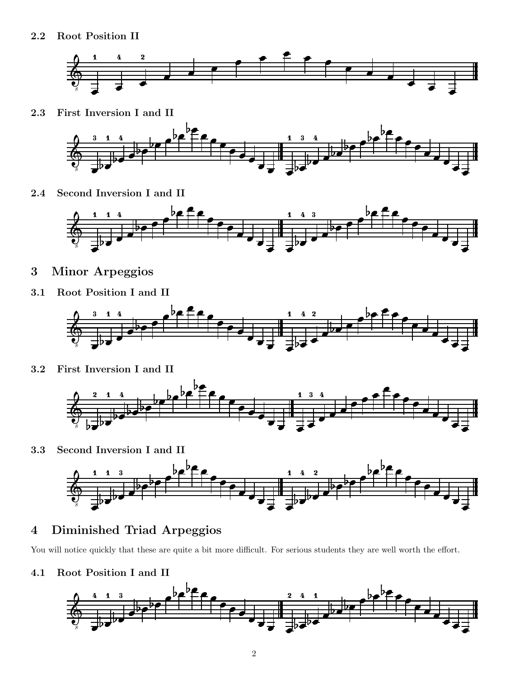

2.3 First Inversion I and II



2.4 Second Inversion I and II



- 3 Minor Arpeggios
- 3.1 Root Position I and II



3.2 First Inversion I and II



3.3 Second Inversion I and II



# 4 Diminished Triad Arpeggios

You will notice quickly that these are quite a bit more difficult. For serious students they are well worth the effort.

4.1 Root Position I and II